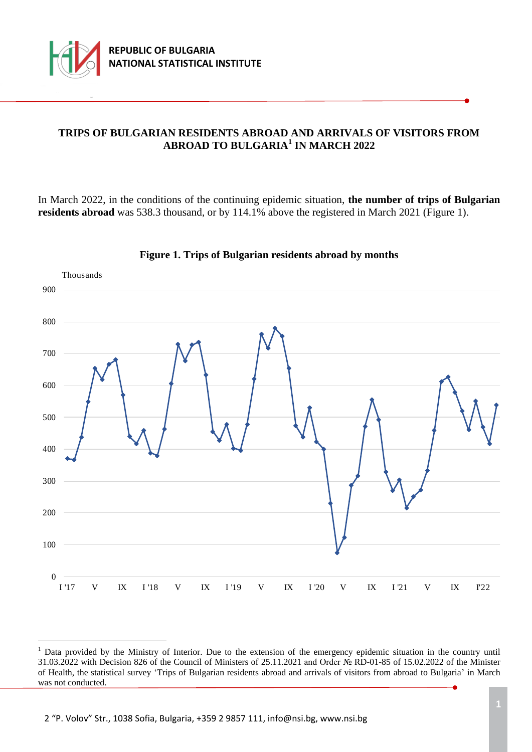

÷.

## **TRIPS OF BULGARIAN RESIDENTS ABROAD AND ARRIVALS OF VISITORS FROM ABROAD TO BULGARIA<sup>1</sup> IN MARCH 2022**

In March 2022, in the conditions of the continuing epidemic situation, **the number of trips of Bulgarian residents abroad** was 538.3 thousand, or by 114.1% above the registered in March 2021 (Figure 1).



#### **Figure 1. Trips of Bulgarian residents abroad by months**

<sup>&</sup>lt;sup>1</sup> Data provided by the Ministry of Interior. Due to the extension of the emergency epidemic situation in the country until 31.03.2022 with Decision 826 of the Council of Ministers of 25.11.2021 and Order № RD-01-85 of 15.02.2022 of the Minister of Health, the statistical survey 'Trips of Bulgarian residents abroad and arrivals of visitors from abroad to Bulgaria' in March was not conducted.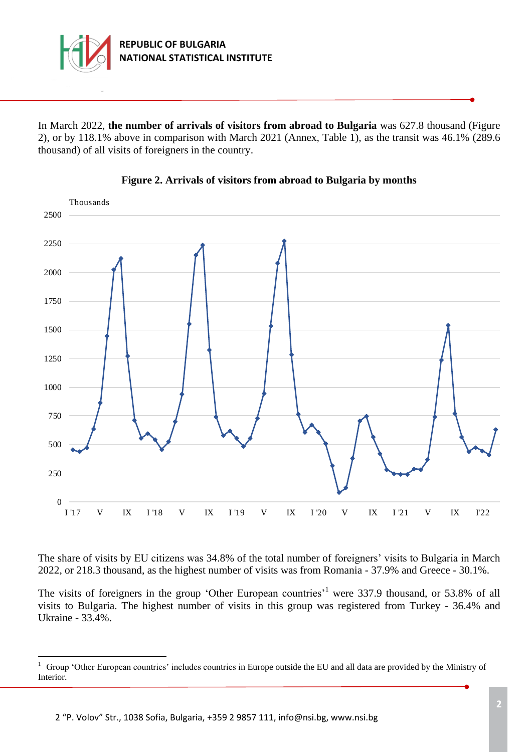

In March 2022, **the number of arrivals of visitors from abroad to Bulgaria** was 627.8 thousand (Figure 2), or by 118.1% above in comparison with March 2021 (Annex, Table 1), as the transit was 46.1% (289.6 thousand) of all visits of foreigners in the country.





The share of visits by ЕU citizens was 34.8% of the total number of foreigners' visits to Bulgaria in March 2022, or 218.3 thousand, as the highest number of visits was from Romania - 37.9% and Greece - 30.1%.

The visits of foreigners in the group 'Other European countries'<sup>1</sup> were 337.9 thousand, or 53.8% of all visits to Bulgaria. The highest number of visits in this group was registered from Turkey - 36.4% and Ukraine - 33.4%.

÷.

<sup>&</sup>lt;sup>1</sup> Group 'Other European countries' includes countries in Europe outside the EU and all data are provided by the Ministry of Interior.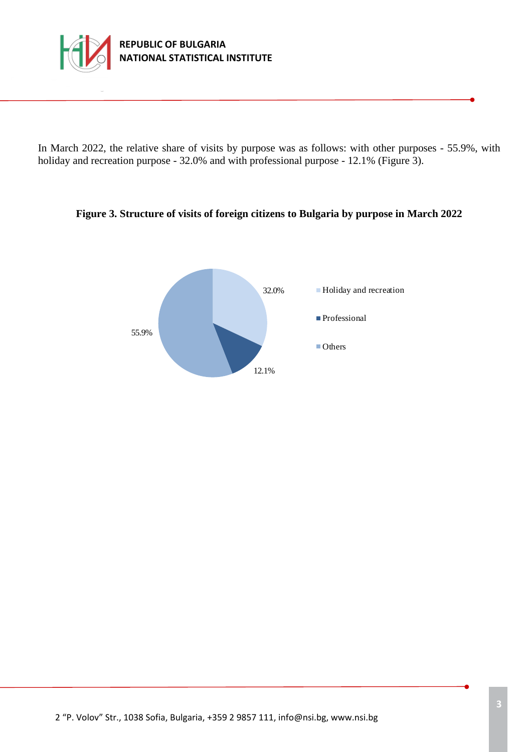

In March 2022, the relative share of visits by purpose was as follows: with other purposes - 55.9%, with holiday and recreation purpose - 32.0% and with professional purpose - 12.1% (Figure 3).

### **Figure 3. Structure of visits of foreign citizens to Bulgaria by purpose in March 2022**

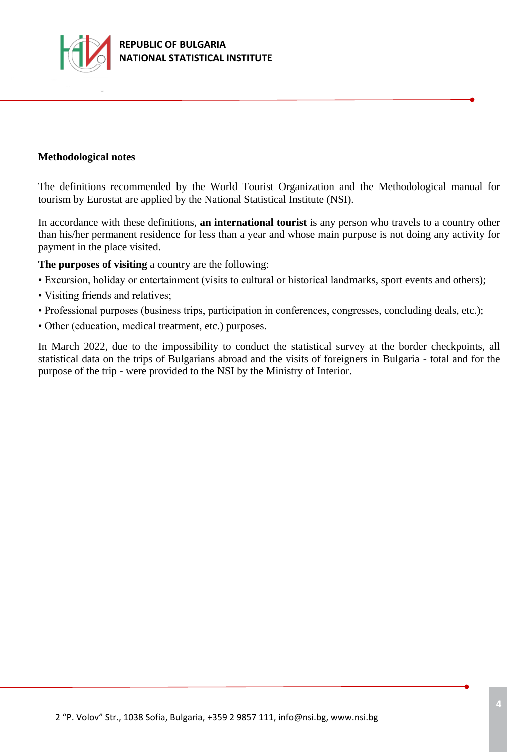

### **Methodological notes**

The definitions recommended by the World Tourist Organization and the Methodological manual for tourism by Eurostat are applied by the National Statistical Institute (NSI).

In accordance with these definitions, **an international tourist** is any person who travels to a country other than his/her permanent residence for less than a year and whose main purpose is not doing any activity for payment in the place visited.

**The purposes of visiting** a country are the following:

- Excursion, holiday or entertainment (visits to cultural or historical landmarks, sport events and others);
- Visiting friends and relatives;
- Professional purposes (business trips, participation in conferences, congresses, concluding deals, etc.);
- Other (education, medical treatment, etc.) purposes.

In March 2022, due to the impossibility to conduct the statistical survey at the border checkpoints, all statistical data on the trips of Bulgarians abroad and the visits of foreigners in Bulgaria - total and for the purpose of the trip - were provided to the NSI by the Ministry of Interior.